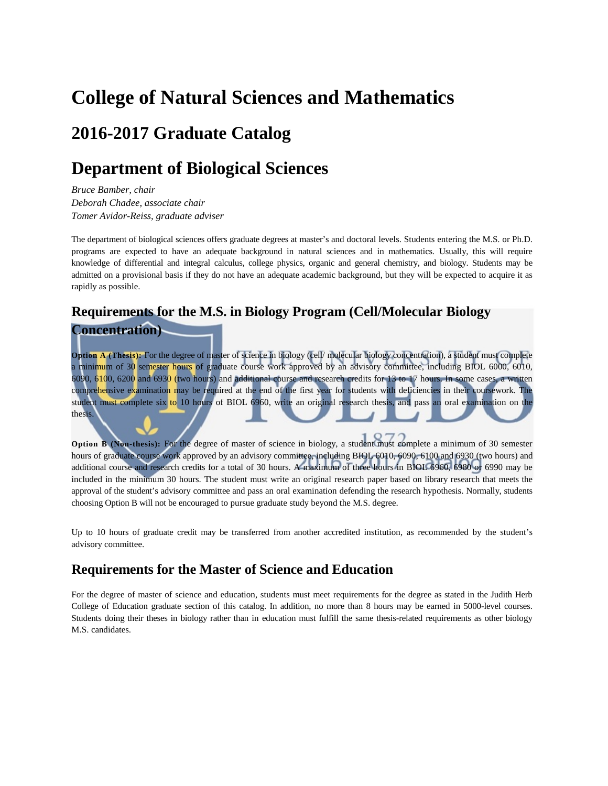## **College of Natural Sciences and Mathematics**

## **2016-2017 Graduate Catalog**

## **Department of Biological Sciences**

*Bruce Bamber, chair Deborah Chadee, associate chair Tomer Avidor-Reiss, graduate adviser*

The department of biological sciences offers graduate degrees at master's and doctoral levels. Students entering the M.S. or Ph.D. programs are expected to have an adequate background in natural sciences and in mathematics. Usually, this will require knowledge of differential and integral calculus, college physics, organic and general chemistry, and biology. Students may be admitted on a provisional basis if they do not have an adequate academic background, but they will be expected to acquire it as rapidly as possible.

### **Requirements for the M.S. in Biology Program (Cell/Molecular Biology**

### **Concentration)**

**Option A (Thesis):** For the degree of master of science in biology (cell/ molecular biology concentration), a student must complete a minimum of 30 semester hours of graduate course work approved by an advisory committee, including BIOL 6000, 6010, 6090, 6100, 6200 and 6930 (two hours) and additional course and research credits for 13 to 17 hours. In some cases, a written comprehensive examination may be required at the end of the first year for students with deficiencies in their coursework. The student must complete six to 10 hours of BIOL 6960, write an original research thesis, and pass an oral examination on the thesis.

**Option B (Non-thesis):** For the degree of master of science in biology, a student must complete a minimum of 30 semester hours of graduate course work approved by an advisory committee, including BIOL 6010, 6090, 6100 and 6930 (two hours) and additional course and research credits for a total of 30 hours. A maximum of three hours in BIOL 6960, 6980 or 6990 may be included in the minimum 30 hours. The student must write an original research paper based on library research that meets the approval of the student's advisory committee and pass an oral examination defending the research hypothesis. Normally, students choosing Option B will not be encouraged to pursue graduate study beyond the M.S. degree.

Up to 10 hours of graduate credit may be transferred from another accredited institution, as recommended by the student's advisory committee.

## **Requirements for the Master of Science and Education**

For the degree of master of science and education, students must meet requirements for the degree as stated in the Judith Herb College of Education graduate section of this catalog. In addition, no more than 8 hours may be earned in 5000-level courses. Students doing their theses in biology rather than in education must fulfill the same thesis-related requirements as other biology M.S. candidates.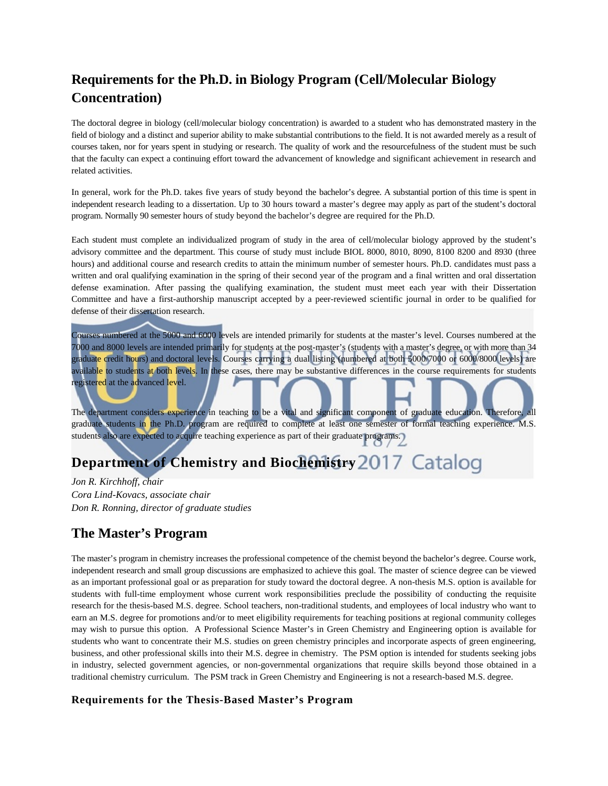## **Requirements for the Ph.D. in Biology Program (Cell/Molecular Biology Concentration)**

The doctoral degree in biology (cell/molecular biology concentration) is awarded to a student who has demonstrated mastery in the field of biology and a distinct and superior ability to make substantial contributions to the field. It is not awarded merely as a result of courses taken, nor for years spent in studying or research. The quality of work and the resourcefulness of the student must be such that the faculty can expect a continuing effort toward the advancement of knowledge and significant achievement in research and related activities.

In general, work for the Ph.D. takes five years of study beyond the bachelor's degree. A substantial portion of this time is spent in independent research leading to a dissertation. Up to 30 hours toward a master's degree may apply as part of the student's doctoral program. Normally 90 semester hours of study beyond the bachelor's degree are required for the Ph.D.

Each student must complete an individualized program of study in the area of cell/molecular biology approved by the student's advisory committee and the department. This course of study must include BIOL 8000, 8010, 8090, 8100 8200 and 8930 (three hours) and additional course and research credits to attain the minimum number of semester hours. Ph.D. candidates must pass a written and oral qualifying examination in the spring of their second year of the program and a final written and oral dissertation defense examination. After passing the qualifying examination, the student must meet each year with their Dissertation Committee and have a first-authorship manuscript accepted by a peer-reviewed scientific journal in order to be qualified for defense of their dissertation research.

Courses numbered at the 5000 and 6000 levels are intended primarily for students at the master's level. Courses numbered at the 7000 and 8000 levels are intended primarily for students at the post-master's (students with a master's degree, or with more than 34 graduate credit hours) and doctoral levels. Courses carrying a dual listing (numbered at both 5000/7000 or 6000/8000 levels) are available to students at both levels. In these cases, there may be substantive differences in the course requirements for students registered at the advanced level.

The department considers experience in teaching to be a vital and significant component of graduate education. Therefore, all graduate students in the Ph.D. program are required to complete at least one semester of formal teaching experience. M.S. students also are expected to acquire teaching experience as part of their graduate programs.

## **Department of Chemistry and Biochemistry**

*Jon R. Kirchhoff, chair Cora Lind-Kovacs, associate chair Don R. Ronning, director of graduate studies*

## **The Master's Program**

The master's program in chemistry increases the professional competence of the chemist beyond the bachelor's degree. Course work, independent research and small group discussions are emphasized to achieve this goal. The master of science degree can be viewed as an important professional goal or as preparation for study toward the doctoral degree. A non-thesis M.S. option is available for students with full-time employment whose current work responsibilities preclude the possibility of conducting the requisite research for the thesis-based M.S. degree. School teachers, non-traditional students, and employees of local industry who want to earn an M.S. degree for promotions and/or to meet eligibility requirements for teaching positions at regional community colleges may wish to pursue this option. A Professional Science Master's in Green Chemistry and Engineering option is available for students who want to concentrate their M.S. studies on green chemistry principles and incorporate aspects of green engineering, business, and other professional skills into their M.S. degree in chemistry. The PSM option is intended for students seeking jobs in industry, selected government agencies, or non-governmental organizations that require skills beyond those obtained in a traditional chemistry curriculum. The PSM track in Green Chemistry and Engineering is not a research-based M.S. degree.

#### **Requirements for the Thesis-Based Master's Program**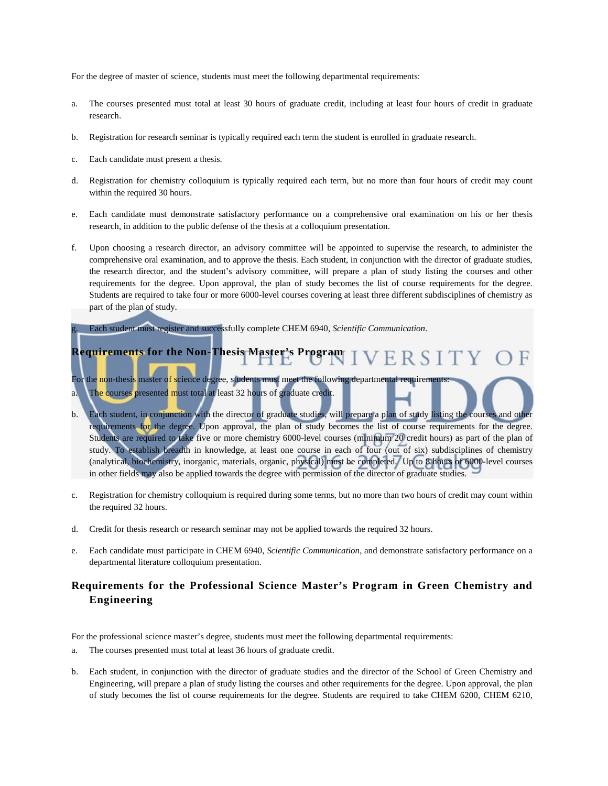For the degree of master of science, students must meet the following departmental requirements:

- a. The courses presented must total at least 30 hours of graduate credit, including at least four hours of credit in graduate research.
- b. Registration for research seminar is typically required each term the student is enrolled in graduate research.
- c. Each candidate must present a thesis.
- d. Registration for chemistry colloquium is typically required each term, but no more than four hours of credit may count within the required 30 hours.
- e. Each candidate must demonstrate satisfactory performance on a comprehensive oral examination on his or her thesis research, in addition to the public defense of the thesis at a colloquium presentation.
- f. Upon choosing a research director, an advisory committee will be appointed to supervise the research, to administer the comprehensive oral examination, and to approve the thesis. Each student, in conjunction with the director of graduate studies, the research director, and the student's advisory committee, will prepare a plan of study listing the courses and other requirements for the degree. Upon approval, the plan of study becomes the list of course requirements for the degree. Students are required to take four or more 6000-level courses covering at least three different subdisciplines of chemistry as part of the plan of study.

g. Each student must register and successfully complete CHEM 6940, *Scientific Communication*.

#### **Requirements for the Non-Thesis Master's Program** VERSIT

For the non-thesis master of science degree, students must meet the following departmental requirements: a. The courses presented must total at least 32 hours of graduate credit.

- b. Each student, in conjunction with the director of graduate studies, will prepare a plan of study listing the courses and other requirements for the degree. Upon approval, the plan of study becomes the list of course requirements for the degree. Students are required to take five or more chemistry 6000-level courses (minimum 20 credit hours) as part of the plan of study. To establish breadth in knowledge, at least one course in each of four (out of six) subdisciplines of chemistry (analytical, biochemistry, inorganic, materials, organic, physical) must be completed. Up to 8 hours of 6000-level courses in other fields may also be applied towards the degree with permission of the director of graduate studies.
- c. Registration for chemistry colloquium is required during some terms, but no more than two hours of credit may count within the required 32 hours.
- d. Credit for thesis research or research seminar may not be applied towards the required 32 hours.
- e. Each candidate must participate in CHEM 6940, *Scientific Communication*, and demonstrate satisfactory performance on a departmental literature colloquium presentation.

#### **Requirements for the Professional Science Master's Program in Green Chemistry and Engineering**

For the professional science master's degree, students must meet the following departmental requirements:

- a. The courses presented must total at least 36 hours of graduate credit.
- b. Each student, in conjunction with the director of graduate studies and the director of the School of Green Chemistry and Engineering, will prepare a plan of study listing the courses and other requirements for the degree. Upon approval, the plan of study becomes the list of course requirements for the degree. Students are required to take CHEM 6200, CHEM 6210,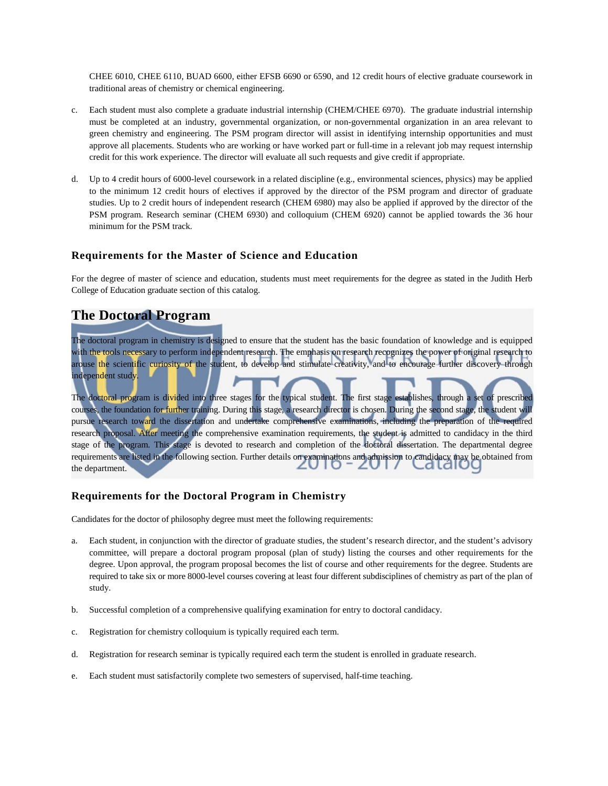CHEE 6010, CHEE 6110, BUAD 6600, either EFSB 6690 or 6590, and 12 credit hours of elective graduate coursework in traditional areas of chemistry or chemical engineering.

- c. Each student must also complete a graduate industrial internship (CHEM/CHEE 6970). The graduate industrial internship must be completed at an industry, governmental organization, or non-governmental organization in an area relevant to green chemistry and engineering. The PSM program director will assist in identifying internship opportunities and must approve all placements. Students who are working or have worked part or full-time in a relevant job may request internship credit for this work experience. The director will evaluate all such requests and give credit if appropriate.
- d. Up to 4 credit hours of 6000-level coursework in a related discipline (e.g., environmental sciences, physics) may be applied to the minimum 12 credit hours of electives if approved by the director of the PSM program and director of graduate studies. Up to 2 credit hours of independent research (CHEM 6980) may also be applied if approved by the director of the PSM program. Research seminar (CHEM 6930) and colloquium (CHEM 6920) cannot be applied towards the 36 hour minimum for the PSM track.

#### **Requirements for the Master of Science and Education**

For the degree of master of science and education, students must meet requirements for the degree as stated in the Judith Herb College of Education graduate section of this catalog.

### **The Doctoral Program**

The doctoral program in chemistry is designed to ensure that the student has the basic foundation of knowledge and is equipped with the tools necessary to perform independent research. The emphasis on research recognizes the power of original research to arouse the scientific curiosity of the student, to develop and stimulate creativity, and to encourage further discovery through independent study.

The doctoral program is divided into three stages for the typical student. The first stage establishes, through a set of prescribed courses, the foundation for further training. During this stage, a research director is chosen. During the second stage, the student will pursue research toward the dissertation and undertake comprehensive examinations, including the preparation of the required research proposal. After meeting the comprehensive examination requirements, the student is admitted to candidacy in the third stage of the program. This stage is devoted to research and completion of the doctoral dissertation. The departmental degree requirements are listed in the following section. Further details on examinations and admission to candidacy may be obtained from the department.

#### **Requirements for the Doctoral Program in Chemistry**

Candidates for the doctor of philosophy degree must meet the following requirements:

- a. Each student, in conjunction with the director of graduate studies, the student's research director, and the student's advisory committee, will prepare a doctoral program proposal (plan of study) listing the courses and other requirements for the degree. Upon approval, the program proposal becomes the list of course and other requirements for the degree. Students are required to take six or more 8000-level courses covering at least four different subdisciplines of chemistry as part of the plan of study.
- b. Successful completion of a comprehensive qualifying examination for entry to doctoral candidacy.
- c. Registration for chemistry colloquium is typically required each term.
- d. Registration for research seminar is typically required each term the student is enrolled in graduate research.
- e. Each student must satisfactorily complete two semesters of supervised, half-time teaching.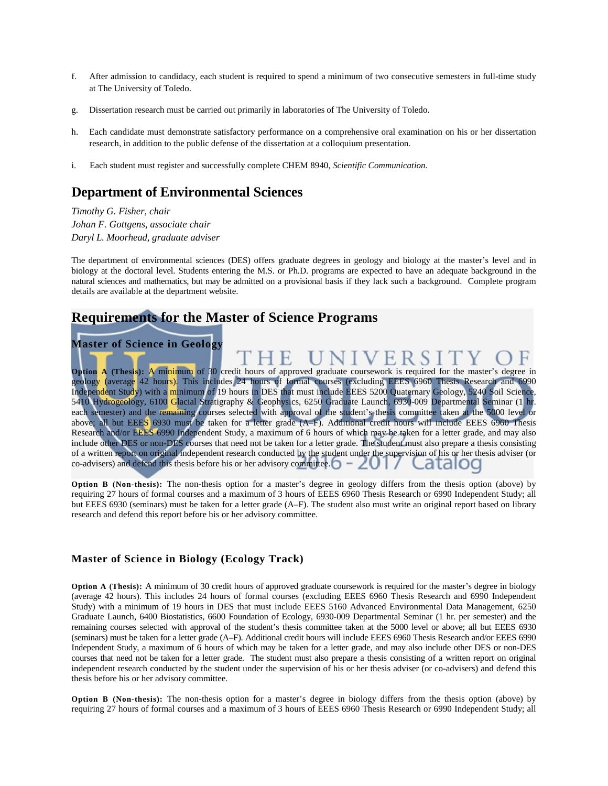- f. After admission to candidacy, each student is required to spend a minimum of two consecutive semesters in full-time study at The University of Toledo.
- g. Dissertation research must be carried out primarily in laboratories of The University of Toledo.
- h. Each candidate must demonstrate satisfactory performance on a comprehensive oral examination on his or her dissertation research, in addition to the public defense of the dissertation at a colloquium presentation.
- i. Each student must register and successfully complete CHEM 8940, *Scientific Communication*.

#### **Department of Environmental Sciences**

*Timothy G. Fisher, chair Johan F. Gottgens, associate chair Daryl L. Moorhead, graduate adviser*

The department of environmental sciences (DES) offers graduate degrees in geology and biology at the master's level and in biology at the doctoral level. Students entering the M.S. or Ph.D. programs are expected to have an adequate background in the natural sciences and mathematics, but may be admitted on a provisional basis if they lack such a background. Complete program details are available at the department website.

#### **Requirements for the Master of Science Programs**

**Master of Science in Geology**

**Option A (Thesis):** A minimum of 30 credit hours of approved graduate coursework is required for the master's degree in geology (average 42 hours). This includes 24 hours of formal courses (excluding EEES 6960 Thesis Research and 6990 Independent Study) with a minimum of 19 hours in DES that must include EEES 5200 Quaternary Geology, 5240 Soil Science, 5410 Hydrogeology, 6100 Glacial Stratigraphy & Geophysics, 6250 Graduate Launch, 6930-009 Departmental Seminar (1 hr. each semester) and the remaining courses selected with approval of the student's thesis committee taken at the 5000 level or above; all but EEES 6930 must be taken for a letter grade (A–F). Additional credit hours will include EEES 6960 Thesis Research and/or EEES 6990 Independent Study, a maximum of 6 hours of which may be taken for a letter grade, and may also include other DES or non-DES courses that need not be taken for a letter grade. The student must also prepare a thesis consisting of a written report on original independent research conducted by the student under the supervision of his or her thesis adviser (or co-advisers) and defend this thesis before his or her advisory committee.  $\bigcirc - \angle$ 

**Option B (Non-thesis):** The non-thesis option for a master's degree in geology differs from the thesis option (above) by requiring 27 hours of formal courses and a maximum of 3 hours of EEES 6960 Thesis Research or 6990 Independent Study; all but EEES 6930 (seminars) must be taken for a letter grade (A–F). The student also must write an original report based on library research and defend this report before his or her advisory committee.

#### **Master of Science in Biology (Ecology Track)**

**Option A (Thesis):** A minimum of 30 credit hours of approved graduate coursework is required for the master's degree in biology (average 42 hours). This includes 24 hours of formal courses (excluding EEES 6960 Thesis Research and 6990 Independent Study) with a minimum of 19 hours in DES that must include EEES 5160 Advanced Environmental Data Management, 6250 Graduate Launch, 6400 Biostatistics, 6600 Foundation of Ecology, 6930-009 Departmental Seminar (1 hr. per semester) and the remaining courses selected with approval of the student's thesis committee taken at the 5000 level or above; all but EEES 6930 (seminars) must be taken for a letter grade (A–F). Additional credit hours will include EEES 6960 Thesis Research and/or EEES 6990 Independent Study, a maximum of 6 hours of which may be taken for a letter grade, and may also include other DES or non-DES courses that need not be taken for a letter grade. The student must also prepare a thesis consisting of a written report on original independent research conducted by the student under the supervision of his or her thesis adviser (or co-advisers) and defend this thesis before his or her advisory committee.

**Option B (Non-thesis):** The non-thesis option for a master's degree in biology differs from the thesis option (above) by requiring 27 hours of formal courses and a maximum of 3 hours of EEES 6960 Thesis Research or 6990 Independent Study; all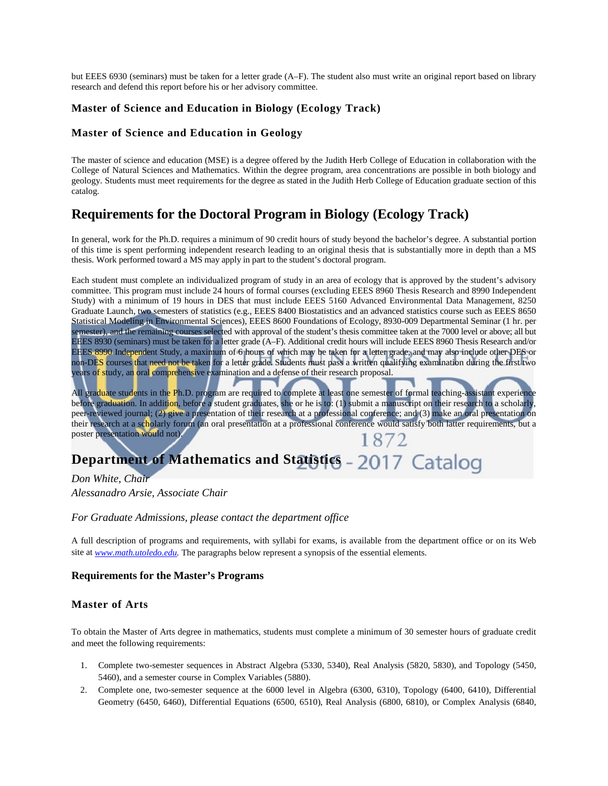but EEES 6930 (seminars) must be taken for a letter grade (A–F). The student also must write an original report based on library research and defend this report before his or her advisory committee.

#### **Master of Science and Education in Biology (Ecology Track)**

#### **Master of Science and Education in Geology**

The master of science and education (MSE) is a degree offered by the Judith Herb College of Education in collaboration with the College of Natural Sciences and Mathematics. Within the degree program, area concentrations are possible in both biology and geology. Students must meet requirements for the degree as stated in the Judith Herb College of Education graduate section of this catalog.

### **Requirements for the Doctoral Program in Biology (Ecology Track)**

In general, work for the Ph.D. requires a minimum of 90 credit hours of study beyond the bachelor's degree. A substantial portion of this time is spent performing independent research leading to an original thesis that is substantially more in depth than a MS thesis. Work performed toward a MS may apply in part to the student's doctoral program.

Each student must complete an individualized program of study in an area of ecology that is approved by the student's advisory committee. This program must include 24 hours of formal courses (excluding EEES 8960 Thesis Research and 8990 Independent Study) with a minimum of 19 hours in DES that must include EEES 5160 Advanced Environmental Data Management, 8250 Graduate Launch, two semesters of statistics (e.g., EEES 8400 Biostatistics and an advanced statistics course such as EEES 8650 Statistical Modeling in Environmental Sciences), EEES 8600 Foundations of Ecology, 8930-009 Departmental Seminar (1 hr. per semester), and the remaining courses selected with approval of the student's thesis committee taken at the 7000 level or above; all but EEES 8930 (seminars) must be taken for a letter grade (A–F). Additional credit hours will include EEES 8960 Thesis Research and/or EEES 8990 Independent Study, a maximum of 6 hours of which may be taken for a letter grade, and may also include other DES or non-DES courses that need not be taken for a letter grade. Students must pass a written qualifying examination during the first two years of study, an oral comprehensive examination and a defense of their research proposal.

All graduate students in the Ph.D. program are required to complete at least one semester of formal teaching-assistant experience before graduation. In addition, before a student graduates, she or he is to: (1) submit a manuscript on their research to a scholarly, peer-reviewed journal; (2) give a presentation of their research at a professional conference; and (3) make an oral presentation on their research at a scholarly forum (an oral presentation at a professional conference would satisfy both latter requirements, but a poster presentation would not). 1872

## **Department of Mathematics and Statistics - 2017 Catalog**

*Don White, Chair Alessanadro Arsie, Associate Chair*

#### *For Graduate Admissions, please contact the department office*

A full description of programs and requirements, with syllabi for exams, is available from the department office or on its Web site at *www.math.utoledo.edu.* The paragraphs below represent a synopsis of the essential elements.

#### **Requirements for the Master's Programs**

#### **Master of Arts**

To obtain the Master of Arts degree in mathematics, students must complete a minimum of 30 semester hours of graduate credit and meet the following requirements:

- 1. Complete two-semester sequences in Abstract Algebra (5330, 5340), Real Analysis (5820, 5830), and Topology (5450, 5460), and a semester course in Complex Variables (5880).
- 2. Complete one, two-semester sequence at the 6000 level in Algebra (6300, 6310), Topology (6400, 6410), Differential Geometry (6450, 6460), Differential Equations (6500, 6510), Real Analysis (6800, 6810), or Complex Analysis (6840,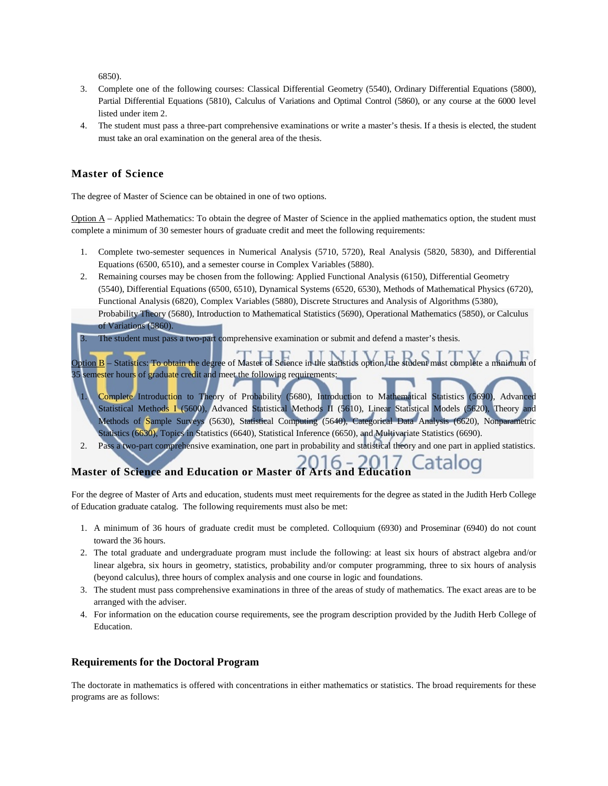6850).

- 3. Complete one of the following courses: Classical Differential Geometry (5540), Ordinary Differential Equations (5800), Partial Differential Equations (5810), Calculus of Variations and Optimal Control (5860), or any course at the 6000 level listed under item 2.
- 4. The student must pass a three-part comprehensive examinations or write a master's thesis. If a thesis is elected, the student must take an oral examination on the general area of the thesis.

#### **Master of Science**

The degree of Master of Science can be obtained in one of two options.

 $Option A - Applied Mathematics: To obtain the degree of Master of Science in the applied mathematics option, the student must$ complete a minimum of 30 semester hours of graduate credit and meet the following requirements:

- 1. Complete two-semester sequences in Numerical Analysis (5710, 5720), Real Analysis (5820, 5830), and Differential Equations (6500, 6510), and a semester course in Complex Variables (5880).
- 2. Remaining courses may be chosen from the following: Applied Functional Analysis (6150), Differential Geometry (5540), Differential Equations (6500, 6510), Dynamical Systems (6520, 6530), Methods of Mathematical Physics (6720), Functional Analysis (6820), Complex Variables (5880), Discrete Structures and Analysis of Algorithms (5380), Probability Theory (5680), Introduction to Mathematical Statistics (5690), Operational Mathematics (5850), or Calculus of Variations (5860).

The student must pass a two-part comprehensive examination or submit and defend a master's thesis.

Option B – Statistics: To obtain the degree of Master of Science in the statistics option, the student must complete a minimum of 35 semester hours of graduate credit and meet the following requirements:

- Complete Introduction to Theory of Probability (5680), Introduction to Mathematical Statistics (5690), Advanced Statistical Methods I (5600), Advanced Statistical Methods II (5610), Linear Statistical Models (5620), Theory and Methods of Sample Surveys (5630), Statistical Computing (5640), Categorical Data Analysis (6620), Nonparametric Statistics (6630), Topics in Statistics (6640), Statistical Inference (6650), and Multivariate Statistics (6690).
- 2. Pass a two-part comprehensive examination, one part in probability and statistical theory and one part in applied statistics.

### **Master of Science and Education or Master of Arts and Education**

For the degree of Master of Arts and education, students must meet requirements for the degree as stated in the Judith Herb College of Education graduate catalog. The following requirements must also be met:

- 1. A minimum of 36 hours of graduate credit must be completed. Colloquium (6930) and Proseminar (6940) do not count toward the 36 hours.
- 2. The total graduate and undergraduate program must include the following: at least six hours of abstract algebra and/or linear algebra, six hours in geometry, statistics, probability and/or computer programming, three to six hours of analysis (beyond calculus), three hours of complex analysis and one course in logic and foundations.
- 3. The student must pass comprehensive examinations in three of the areas of study of mathematics. The exact areas are to be arranged with the adviser.
- 4. For information on the education course requirements, see the program description provided by the Judith Herb College of Education.

#### **Requirements for the Doctoral Program**

The doctorate in mathematics is offered with concentrations in either mathematics or statistics. The broad requirements for these programs are as follows: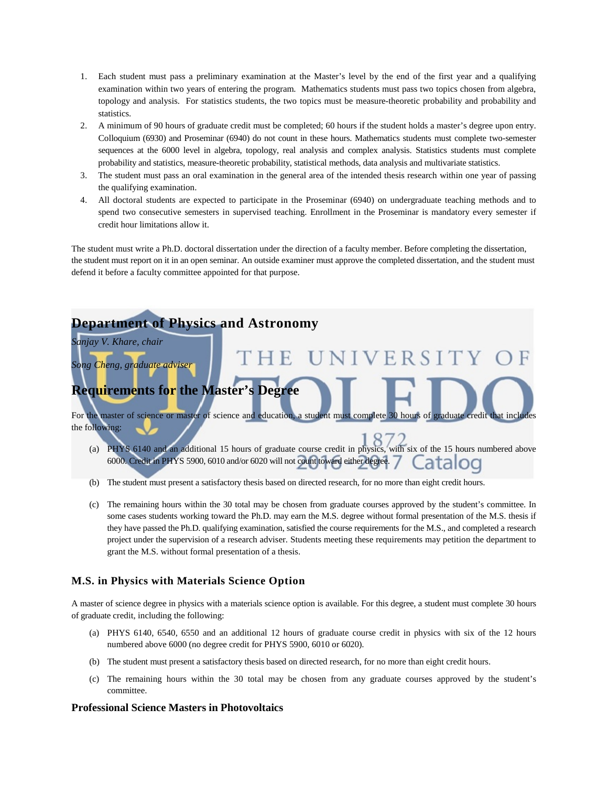- 1. Each student must pass a preliminary examination at the Master's level by the end of the first year and a qualifying examination within two years of entering the program. Mathematics students must pass two topics chosen from algebra, topology and analysis. For statistics students, the two topics must be measure-theoretic probability and probability and statistics.
- 2. A minimum of 90 hours of graduate credit must be completed; 60 hours if the student holds a master's degree upon entry. Colloquium (6930) and Proseminar (6940) do not count in these hours. Mathematics students must complete two-semester sequences at the 6000 level in algebra, topology, real analysis and complex analysis. Statistics students must complete probability and statistics, measure-theoretic probability, statistical methods, data analysis and multivariate statistics.
- 3. The student must pass an oral examination in the general area of the intended thesis research within one year of passing the qualifying examination.
- 4. All doctoral students are expected to participate in the Proseminar (6940) on undergraduate teaching methods and to spend two consecutive semesters in supervised teaching. Enrollment in the Proseminar is mandatory every semester if credit hour limitations allow it.

The student must write a Ph.D. doctoral dissertation under the direction of a faculty member. Before completing the dissertation, the student must report on it in an open seminar. An outside examiner must approve the completed dissertation, and the student must defend it before a faculty committee appointed for that purpose.



- (b) The student must present a satisfactory thesis based on directed research, for no more than eight credit hours.
- (c) The remaining hours within the 30 total may be chosen from graduate courses approved by the student's committee. In some cases students working toward the Ph.D. may earn the M.S. degree without formal presentation of the M.S. thesis if they have passed the Ph.D. qualifying examination, satisfied the course requirements for the M.S., and completed a research project under the supervision of a research adviser. Students meeting these requirements may petition the department to grant the M.S. without formal presentation of a thesis.

#### **M.S. in Physics with Materials Science Option**

A master of science degree in physics with a materials science option is available. For this degree, a student must complete 30 hours of graduate credit, including the following:

- (a) PHYS 6140, 6540, 6550 and an additional 12 hours of graduate course credit in physics with six of the 12 hours numbered above 6000 (no degree credit for PHYS 5900, 6010 or 6020).
- (b) The student must present a satisfactory thesis based on directed research, for no more than eight credit hours.
- (c) The remaining hours within the 30 total may be chosen from any graduate courses approved by the student's committee.

#### **Professional Science Masters in Photovoltaics**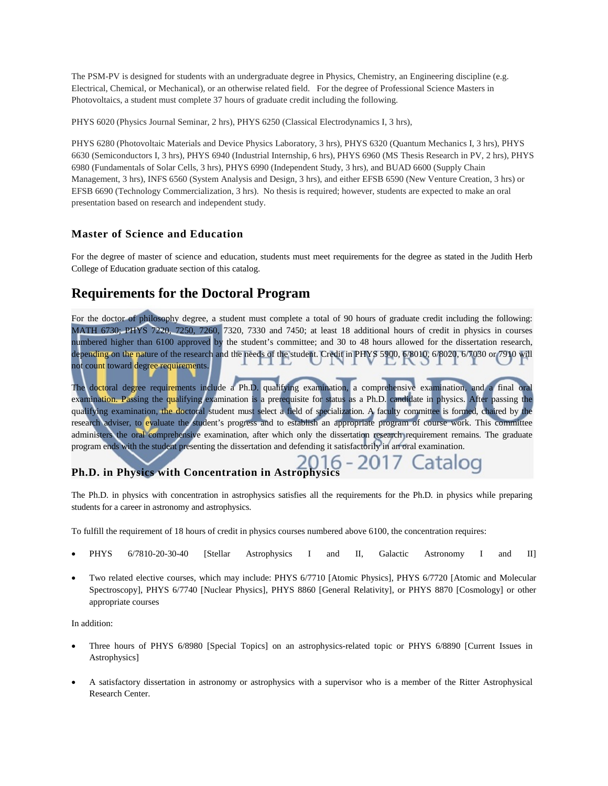The PSM-PV is designed for students with an undergraduate degree in Physics, Chemistry, an Engineering discipline (e.g. Electrical, Chemical, or Mechanical), or an otherwise related field. For the degree of Professional Science Masters in Photovoltaics, a student must complete 37 hours of graduate credit including the following.

PHYS 6020 (Physics Journal Seminar, 2 hrs), PHYS 6250 (Classical Electrodynamics I, 3 hrs),

PHYS 6280 (Photovoltaic Materials and Device Physics Laboratory, 3 hrs), PHYS 6320 (Quantum Mechanics I, 3 hrs), PHYS 6630 (Semiconductors I, 3 hrs), PHYS 6940 (Industrial Internship, 6 hrs), PHYS 6960 (MS Thesis Research in PV, 2 hrs), PHYS 6980 (Fundamentals of Solar Cells, 3 hrs), PHYS 6990 (Independent Study, 3 hrs), and BUAD 6600 (Supply Chain Management, 3 hrs), INFS 6560 (System Analysis and Design, 3 hrs), and either EFSB 6590 (New Venture Creation, 3 hrs) or EFSB 6690 (Technology Commercialization, 3 hrs). No thesis is required; however, students are expected to make an oral presentation based on research and independent study.

#### **Master of Science and Education**

For the degree of master of science and education, students must meet requirements for the degree as stated in the Judith Herb College of Education graduate section of this catalog.

## **Requirements for the Doctoral Program**

For the doctor of philosophy degree, a student must complete a total of 90 hours of graduate credit including the following: MATH 6730; PHYS 7220, 7250, 7260, 7320, 7330 and 7450; at least 18 additional hours of credit in physics in courses numbered higher than 6100 approved by the student's committee; and 30 to 48 hours allowed for the dissertation research, depending on the nature of the research and the needs of the student. Credit in PHYS 5900, 6/8010, 6/8020, 6/7030 or 7910 will not count toward degree requirements.

The doctoral degree requirements include a Ph.D. qualifying examination, a comprehensive examination, and a final oral examination. Passing the qualifying examination is a prerequisite for status as a Ph.D. candidate in physics. After passing the qualifying examination, the doctoral student must select a field of specialization. A faculty committee is formed, chaired by the research adviser, to evaluate the student's progress and to establish an appropriate program of course work. This committee administers the oral comprehensive examination, after which only the dissertation research requirement remains. The graduate program ends with the student presenting the dissertation and defending it satisfactorily in an oral examination.

# **Ph.D. in Physics with Concentration in Astrophysics**

The Ph.D. in physics with concentration in astrophysics satisfies all the requirements for the Ph.D. in physics while preparing students for a career in astronomy and astrophysics.

To fulfill the requirement of 18 hours of credit in physics courses numbered above 6100, the concentration requires:

- PHYS 6/7810-20-30-40 [Stellar Astrophysics I and II, Galactic Astronomy I and II]
- Two related elective courses, which may include: PHYS 6/7710 [Atomic Physics], PHYS 6/7720 [Atomic and Molecular Spectroscopy], PHYS 6/7740 [Nuclear Physics], PHYS 8860 [General Relativity], or PHYS 8870 [Cosmology] or other appropriate courses

In addition:

- Three hours of PHYS 6/8980 [Special Topics] on an astrophysics-related topic or PHYS 6/8890 [Current Issues in Astrophysics]
- A satisfactory dissertation in astronomy or astrophysics with a supervisor who is a member of the Ritter Astrophysical Research Center.